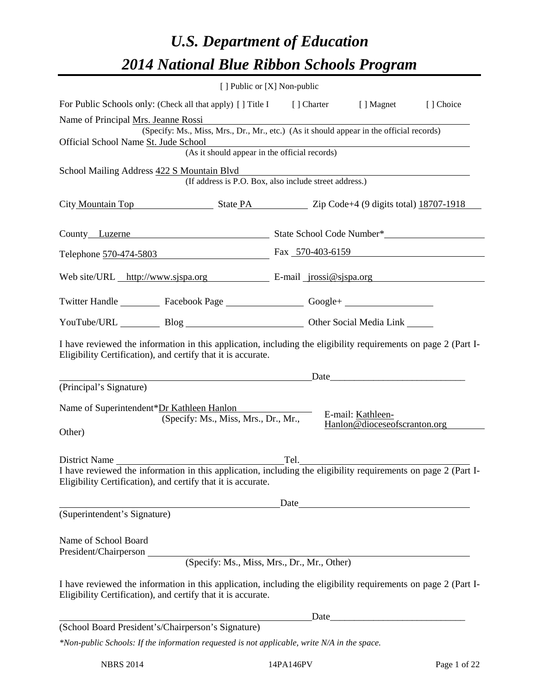# *U.S. Department of Education 2014 National Blue Ribbon Schools Program*

|                                                                                                                                                                                                 | [ ] Public or [X] Non-public                                                             |      |       |                                                   |           |
|-------------------------------------------------------------------------------------------------------------------------------------------------------------------------------------------------|------------------------------------------------------------------------------------------|------|-------|---------------------------------------------------|-----------|
| For Public Schools only: (Check all that apply) [] Title I [] Charter [] Magnet                                                                                                                 |                                                                                          |      |       |                                                   | [] Choice |
| Name of Principal Mrs. Jeanne Rossi                                                                                                                                                             | (Specify: Ms., Miss, Mrs., Dr., Mr., etc.) (As it should appear in the official records) |      |       |                                                   |           |
| Official School Name St. Jude School                                                                                                                                                            | (As it should appear in the official records)                                            |      |       |                                                   |           |
|                                                                                                                                                                                                 |                                                                                          |      |       |                                                   |           |
| School Mailing Address 422 S Mountain Blvd                                                                                                                                                      | (If address is P.O. Box, also include street address.)                                   |      |       |                                                   |           |
| City Mountain Top State PA Zip Code+4 (9 digits total) 18707-1918                                                                                                                               |                                                                                          |      |       |                                                   |           |
| County Luzerne State School Code Number*                                                                                                                                                        |                                                                                          |      |       |                                                   |           |
| Telephone 570-474-5803 Fax 570-403-6159                                                                                                                                                         |                                                                                          |      |       |                                                   |           |
| Web site/URL http://www.sjspa.org E-mail jrossi@sjspa.org                                                                                                                                       |                                                                                          |      |       |                                                   |           |
| Twitter Handle ___________ Facebook Page ___________________ Google+ ____________                                                                                                               |                                                                                          |      |       |                                                   |           |
| YouTube/URL Blog Blog Diher Social Media Link                                                                                                                                                   |                                                                                          |      |       |                                                   |           |
| I have reviewed the information in this application, including the eligibility requirements on page 2 (Part I-<br>Eligibility Certification), and certify that it is accurate.                  |                                                                                          |      |       |                                                   |           |
| (Principal's Signature)                                                                                                                                                                         |                                                                                          |      |       |                                                   |           |
| Name of Superintendent*Dr Kathleen Hanlon<br>Other)                                                                                                                                             | (Specify: Ms., Miss, Mrs., Dr., Mr.,                                                     |      |       | E-mail: Kathleen-<br>Hanlon@dioceseofscranton.org |           |
|                                                                                                                                                                                                 |                                                                                          |      |       |                                                   |           |
| District Name<br>I have reviewed the information in this application, including the eligibility requirements on page 2 (Part I-<br>Eligibility Certification), and certify that it is accurate. |                                                                                          |      |       |                                                   |           |
|                                                                                                                                                                                                 |                                                                                          | Date |       |                                                   |           |
| (Superintendent's Signature)                                                                                                                                                                    |                                                                                          |      |       |                                                   |           |
| Name of School Board<br>President/Chairperson                                                                                                                                                   |                                                                                          |      |       |                                                   |           |
|                                                                                                                                                                                                 | (Specify: Ms., Miss, Mrs., Dr., Mr., Other)                                              |      |       |                                                   |           |
| I have reviewed the information in this application, including the eligibility requirements on page 2 (Part I-<br>Eligibility Certification), and certify that it is accurate.                  |                                                                                          |      |       |                                                   |           |
|                                                                                                                                                                                                 |                                                                                          |      | Date_ |                                                   |           |
| (School Board President's/Chairperson's Signature)                                                                                                                                              |                                                                                          |      |       |                                                   |           |
| *Non-public Schools: If the information requested is not applicable, write N/A in the space.                                                                                                    |                                                                                          |      |       |                                                   |           |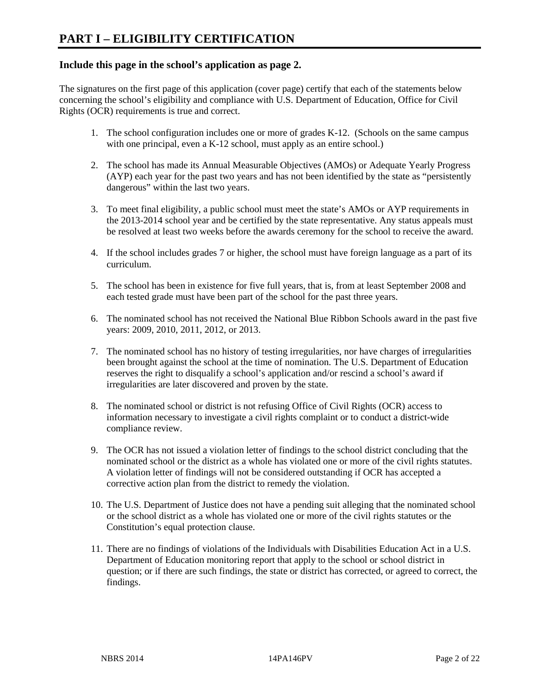## **Include this page in the school's application as page 2.**

The signatures on the first page of this application (cover page) certify that each of the statements below concerning the school's eligibility and compliance with U.S. Department of Education, Office for Civil Rights (OCR) requirements is true and correct.

- 1. The school configuration includes one or more of grades K-12. (Schools on the same campus with one principal, even a K-12 school, must apply as an entire school.)
- 2. The school has made its Annual Measurable Objectives (AMOs) or Adequate Yearly Progress (AYP) each year for the past two years and has not been identified by the state as "persistently dangerous" within the last two years.
- 3. To meet final eligibility, a public school must meet the state's AMOs or AYP requirements in the 2013-2014 school year and be certified by the state representative. Any status appeals must be resolved at least two weeks before the awards ceremony for the school to receive the award.
- 4. If the school includes grades 7 or higher, the school must have foreign language as a part of its curriculum.
- 5. The school has been in existence for five full years, that is, from at least September 2008 and each tested grade must have been part of the school for the past three years.
- 6. The nominated school has not received the National Blue Ribbon Schools award in the past five years: 2009, 2010, 2011, 2012, or 2013.
- 7. The nominated school has no history of testing irregularities, nor have charges of irregularities been brought against the school at the time of nomination. The U.S. Department of Education reserves the right to disqualify a school's application and/or rescind a school's award if irregularities are later discovered and proven by the state.
- 8. The nominated school or district is not refusing Office of Civil Rights (OCR) access to information necessary to investigate a civil rights complaint or to conduct a district-wide compliance review.
- 9. The OCR has not issued a violation letter of findings to the school district concluding that the nominated school or the district as a whole has violated one or more of the civil rights statutes. A violation letter of findings will not be considered outstanding if OCR has accepted a corrective action plan from the district to remedy the violation.
- 10. The U.S. Department of Justice does not have a pending suit alleging that the nominated school or the school district as a whole has violated one or more of the civil rights statutes or the Constitution's equal protection clause.
- 11. There are no findings of violations of the Individuals with Disabilities Education Act in a U.S. Department of Education monitoring report that apply to the school or school district in question; or if there are such findings, the state or district has corrected, or agreed to correct, the findings.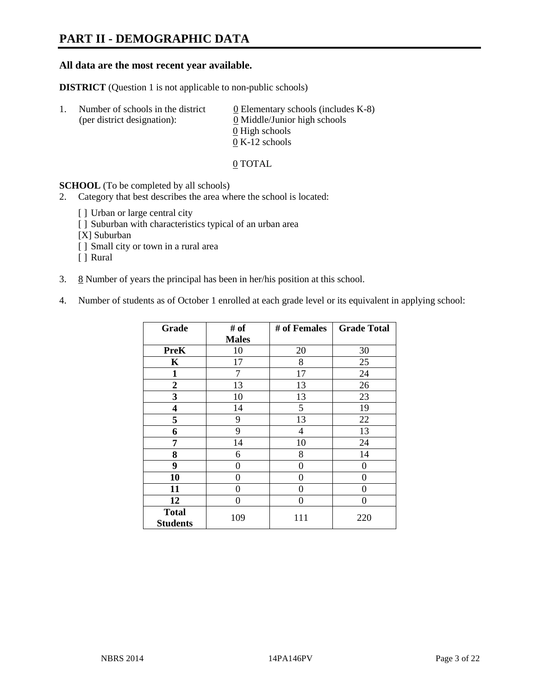# **PART II - DEMOGRAPHIC DATA**

#### **All data are the most recent year available.**

**DISTRICT** (Question 1 is not applicable to non-public schools)

| -1. | Number of schools in the district<br>(per district designation): | 0 Elementary schools (includes $K-8$ )<br>0 Middle/Junior high schools |  |  |
|-----|------------------------------------------------------------------|------------------------------------------------------------------------|--|--|
|     |                                                                  | 0 High schools                                                         |  |  |
|     |                                                                  | $0 K-12$ schools                                                       |  |  |

#### 0 TOTAL

#### **SCHOOL** (To be completed by all schools)

- 2. Category that best describes the area where the school is located:
	- [] Urban or large central city
	- [] Suburban with characteristics typical of an urban area
	- [X] Suburban
	- [ ] Small city or town in a rural area
	- [ ] Rural
- 3.  $8$  Number of years the principal has been in her/his position at this school.
- 4. Number of students as of October 1 enrolled at each grade level or its equivalent in applying school:

| Grade            | # of         | # of Females | <b>Grade Total</b> |
|------------------|--------------|--------------|--------------------|
|                  | <b>Males</b> |              |                    |
| <b>PreK</b>      | 10           | 20           | 30                 |
| K                | 17           | 8            | 25                 |
| $\mathbf{1}$     | 7            | 17           | 24                 |
| $\boldsymbol{2}$ | 13           | 13           | 26                 |
| 3                | 10           | 13           | 23                 |
| 4                | 14           | 5            | 19                 |
| 5                | 9            | 13           | 22                 |
| 6                | 9            | 4            | 13                 |
| 7                | 14           | 10           | 24                 |
| 8                | 6            | 8            | 14                 |
| 9                | 0            | 0            | 0                  |
| 10               | 0            | 0            | 0                  |
| 11               | 0            | 0            | 0                  |
| 12               | 0            | 0            | 0                  |
| <b>Total</b>     | 109          | 111          | 220                |
| <b>Students</b>  |              |              |                    |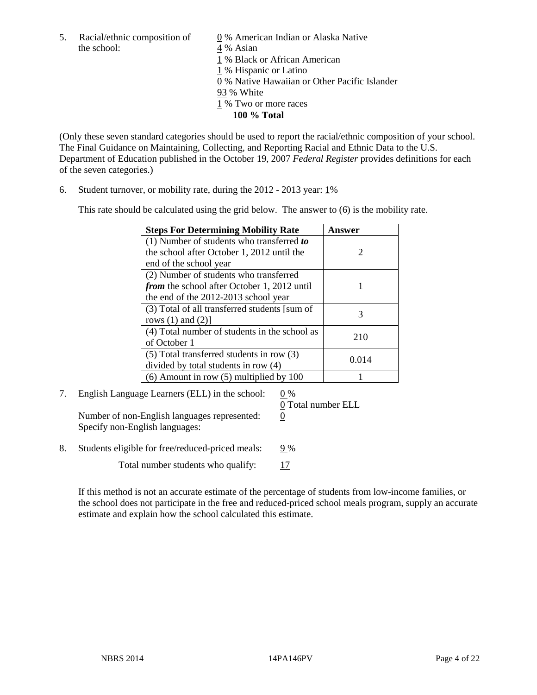5. Racial/ethnic composition of  $\qquad \qquad \underline{0}$  % American Indian or Alaska Native the school: 4 % Asian

 1 % Black or African American 1 % Hispanic or Latino 0 % Native Hawaiian or Other Pacific Islander 93 % White 1 % Two or more races **100 % Total** 

(Only these seven standard categories should be used to report the racial/ethnic composition of your school. The Final Guidance on Maintaining, Collecting, and Reporting Racial and Ethnic Data to the U.S. Department of Education published in the October 19, 2007 *Federal Register* provides definitions for each of the seven categories.)

6. Student turnover, or mobility rate, during the 2012 - 2013 year: 1%

This rate should be calculated using the grid below. The answer to (6) is the mobility rate.

| <b>Steps For Determining Mobility Rate</b>         | Answer                |
|----------------------------------------------------|-----------------------|
| (1) Number of students who transferred to          |                       |
| the school after October 1, 2012 until the         | $\mathcal{D}_{\cdot}$ |
| end of the school year                             |                       |
| (2) Number of students who transferred             |                       |
| <i>from</i> the school after October 1, 2012 until |                       |
| the end of the 2012-2013 school year               |                       |
| (3) Total of all transferred students [sum of      | 3                     |
| rows $(1)$ and $(2)$ ]                             |                       |
| (4) Total number of students in the school as      | 210                   |
| of October 1                                       |                       |
| $(5)$ Total transferred students in row $(3)$      | 0.014                 |
| divided by total students in row (4)               |                       |
| $(6)$ Amount in row $(5)$ multiplied by 100        |                       |

7. English Language Learners (ELL) in the school: 0 %

Number of non-English languages represented: 0 Specify non-English languages:

0 Total number ELL

- 8. Students eligible for free/reduced-priced meals:  $9\%$ 
	- Total number students who qualify:  $\frac{17}{2}$

If this method is not an accurate estimate of the percentage of students from low-income families, or the school does not participate in the free and reduced-priced school meals program, supply an accurate estimate and explain how the school calculated this estimate.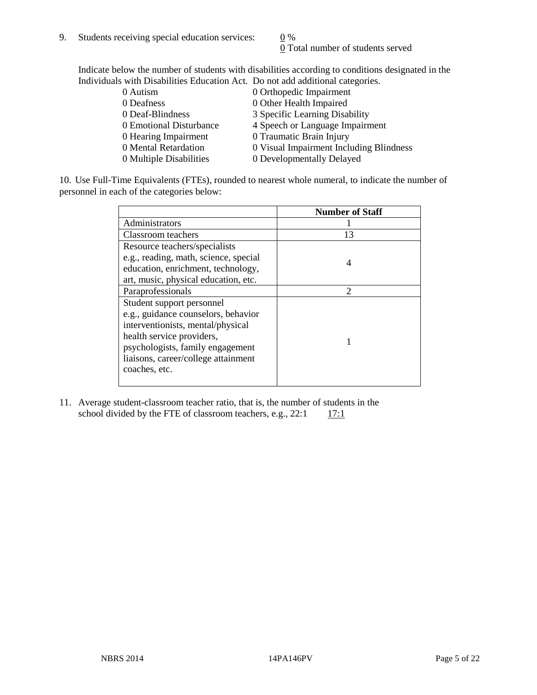0 Total number of students served

Indicate below the number of students with disabilities according to conditions designated in the Individuals with Disabilities Education Act. Do not add additional categories.

| 0 Autism                | 0 Orthopedic Impairment                 |
|-------------------------|-----------------------------------------|
| 0 Deafness              | 0 Other Health Impaired                 |
| 0 Deaf-Blindness        | 3 Specific Learning Disability          |
| 0 Emotional Disturbance | 4 Speech or Language Impairment         |
| 0 Hearing Impairment    | 0 Traumatic Brain Injury                |
| 0 Mental Retardation    | 0 Visual Impairment Including Blindness |
| 0 Multiple Disabilities | 0 Developmentally Delayed               |
|                         |                                         |

10. Use Full-Time Equivalents (FTEs), rounded to nearest whole numeral, to indicate the number of personnel in each of the categories below:

|                                       | <b>Number of Staff</b> |
|---------------------------------------|------------------------|
| Administrators                        |                        |
| Classroom teachers                    | 13                     |
| Resource teachers/specialists         |                        |
| e.g., reading, math, science, special | 4                      |
| education, enrichment, technology,    |                        |
| art, music, physical education, etc.  |                        |
| Paraprofessionals                     | $\mathfrak{D}$         |
| Student support personnel             |                        |
| e.g., guidance counselors, behavior   |                        |
| interventionists, mental/physical     |                        |
| health service providers,             |                        |
| psychologists, family engagement      |                        |
| liaisons, career/college attainment   |                        |
| coaches, etc.                         |                        |
|                                       |                        |

11. Average student-classroom teacher ratio, that is, the number of students in the school divided by the FTE of classroom teachers, e.g.,  $22:1$  17:1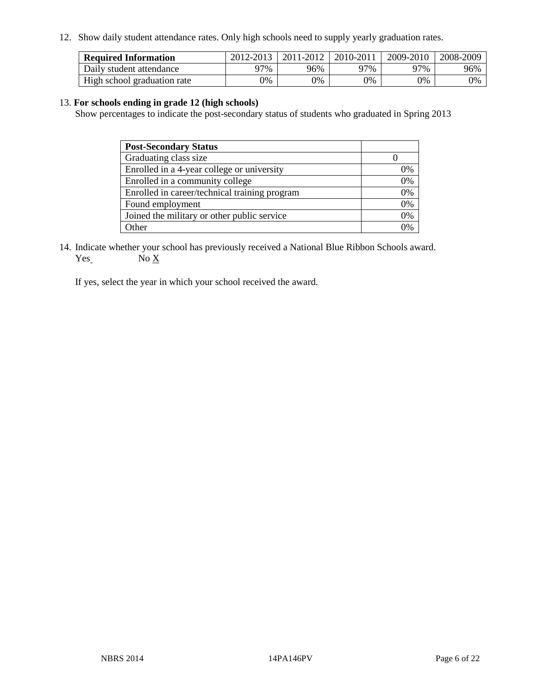12. Show daily student attendance rates. Only high schools need to supply yearly graduation rates.

| <b>Required Information</b> | 2012-2013 | 2011-2012 | 2010-2011 | 2009-2010 | 2008-2009 |
|-----------------------------|-----------|-----------|-----------|-----------|-----------|
| Daily student attendance    | 77%       | 96%       | 97%       | 97%       | 96%       |
| High school graduation rate | 0%        | 9%        | 0%        | 0%        | 0%        |

#### 13. **For schools ending in grade 12 (high schools)**

Show percentages to indicate the post-secondary status of students who graduated in Spring 2013

| <b>Post-Secondary Status</b>                  |    |
|-----------------------------------------------|----|
| Graduating class size                         |    |
| Enrolled in a 4-year college or university    | 0% |
| Enrolled in a community college               | 0% |
| Enrolled in career/technical training program | 0% |
| Found employment                              | 0% |
| Joined the military or other public service   | 0% |
| <b>Other</b>                                  | 2% |

14. Indicate whether your school has previously received a National Blue Ribbon Schools award.  $Yes$  No  $X$ 

If yes, select the year in which your school received the award.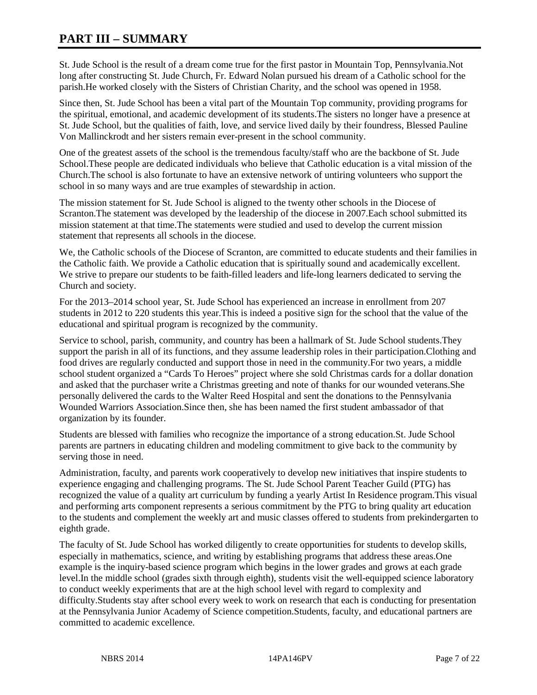# **PART III – SUMMARY**

St. Jude School is the result of a dream come true for the first pastor in Mountain Top, Pennsylvania.Not long after constructing St. Jude Church, Fr. Edward Nolan pursued his dream of a Catholic school for the parish.He worked closely with the Sisters of Christian Charity, and the school was opened in 1958.

Since then, St. Jude School has been a vital part of the Mountain Top community, providing programs for the spiritual, emotional, and academic development of its students.The sisters no longer have a presence at St. Jude School, but the qualities of faith, love, and service lived daily by their foundress, Blessed Pauline Von Mallinckrodt and her sisters remain ever-present in the school community.

One of the greatest assets of the school is the tremendous faculty/staff who are the backbone of St. Jude School.These people are dedicated individuals who believe that Catholic education is a vital mission of the Church.The school is also fortunate to have an extensive network of untiring volunteers who support the school in so many ways and are true examples of stewardship in action.

The mission statement for St. Jude School is aligned to the twenty other schools in the Diocese of Scranton.The statement was developed by the leadership of the diocese in 2007.Each school submitted its mission statement at that time.The statements were studied and used to develop the current mission statement that represents all schools in the diocese.

We, the Catholic schools of the Diocese of Scranton, are committed to educate students and their families in the Catholic faith. We provide a Catholic education that is spiritually sound and academically excellent. We strive to prepare our students to be faith-filled leaders and life-long learners dedicated to serving the Church and society.

For the 2013–2014 school year, St. Jude School has experienced an increase in enrollment from 207 students in 2012 to 220 students this year.This is indeed a positive sign for the school that the value of the educational and spiritual program is recognized by the community.

Service to school, parish, community, and country has been a hallmark of St. Jude School students.They support the parish in all of its functions, and they assume leadership roles in their participation.Clothing and food drives are regularly conducted and support those in need in the community.For two years, a middle school student organized a "Cards To Heroes" project where she sold Christmas cards for a dollar donation and asked that the purchaser write a Christmas greeting and note of thanks for our wounded veterans.She personally delivered the cards to the Walter Reed Hospital and sent the donations to the Pennsylvania Wounded Warriors Association.Since then, she has been named the first student ambassador of that organization by its founder.

Students are blessed with families who recognize the importance of a strong education.St. Jude School parents are partners in educating children and modeling commitment to give back to the community by serving those in need.

Administration, faculty, and parents work cooperatively to develop new initiatives that inspire students to experience engaging and challenging programs. The St. Jude School Parent Teacher Guild (PTG) has recognized the value of a quality art curriculum by funding a yearly Artist In Residence program.This visual and performing arts component represents a serious commitment by the PTG to bring quality art education to the students and complement the weekly art and music classes offered to students from prekindergarten to eighth grade.

The faculty of St. Jude School has worked diligently to create opportunities for students to develop skills, especially in mathematics, science, and writing by establishing programs that address these areas.One example is the inquiry-based science program which begins in the lower grades and grows at each grade level.In the middle school (grades sixth through eighth), students visit the well-equipped science laboratory to conduct weekly experiments that are at the high school level with regard to complexity and difficulty.Students stay after school every week to work on research that each is conducting for presentation at the Pennsylvania Junior Academy of Science competition.Students, faculty, and educational partners are committed to academic excellence.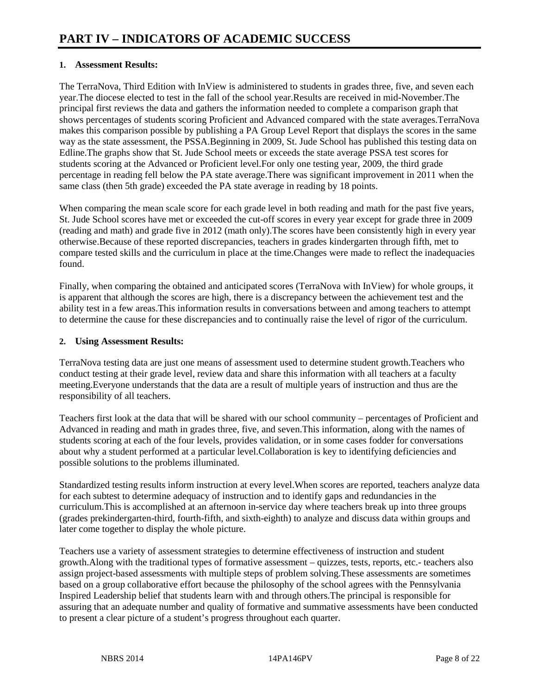#### **1. Assessment Results:**

The TerraNova, Third Edition with InView is administered to students in grades three, five, and seven each year.The diocese elected to test in the fall of the school year.Results are received in mid-November.The principal first reviews the data and gathers the information needed to complete a comparison graph that shows percentages of students scoring Proficient and Advanced compared with the state averages.TerraNova makes this comparison possible by publishing a PA Group Level Report that displays the scores in the same way as the state assessment, the PSSA.Beginning in 2009, St. Jude School has published this testing data on Edline.The graphs show that St. Jude School meets or exceeds the state average PSSA test scores for students scoring at the Advanced or Proficient level.For only one testing year, 2009, the third grade percentage in reading fell below the PA state average.There was significant improvement in 2011 when the same class (then 5th grade) exceeded the PA state average in reading by 18 points.

When comparing the mean scale score for each grade level in both reading and math for the past five years, St. Jude School scores have met or exceeded the cut-off scores in every year except for grade three in 2009 (reading and math) and grade five in 2012 (math only).The scores have been consistently high in every year otherwise.Because of these reported discrepancies, teachers in grades kindergarten through fifth, met to compare tested skills and the curriculum in place at the time.Changes were made to reflect the inadequacies found.

Finally, when comparing the obtained and anticipated scores (TerraNova with InView) for whole groups, it is apparent that although the scores are high, there is a discrepancy between the achievement test and the ability test in a few areas.This information results in conversations between and among teachers to attempt to determine the cause for these discrepancies and to continually raise the level of rigor of the curriculum.

#### **2. Using Assessment Results:**

TerraNova testing data are just one means of assessment used to determine student growth.Teachers who conduct testing at their grade level, review data and share this information with all teachers at a faculty meeting.Everyone understands that the data are a result of multiple years of instruction and thus are the responsibility of all teachers.

Teachers first look at the data that will be shared with our school community – percentages of Proficient and Advanced in reading and math in grades three, five, and seven.This information, along with the names of students scoring at each of the four levels, provides validation, or in some cases fodder for conversations about why a student performed at a particular level.Collaboration is key to identifying deficiencies and possible solutions to the problems illuminated.

Standardized testing results inform instruction at every level.When scores are reported, teachers analyze data for each subtest to determine adequacy of instruction and to identify gaps and redundancies in the curriculum.This is accomplished at an afternoon in-service day where teachers break up into three groups (grades prekindergarten-third, fourth-fifth, and sixth-eighth) to analyze and discuss data within groups and later come together to display the whole picture.

Teachers use a variety of assessment strategies to determine effectiveness of instruction and student growth.Along with the traditional types of formative assessment – quizzes, tests, reports, etc.- teachers also assign project-based assessments with multiple steps of problem solving.These assessments are sometimes based on a group collaborative effort because the philosophy of the school agrees with the Pennsylvania Inspired Leadership belief that students learn with and through others.The principal is responsible for assuring that an adequate number and quality of formative and summative assessments have been conducted to present a clear picture of a student's progress throughout each quarter.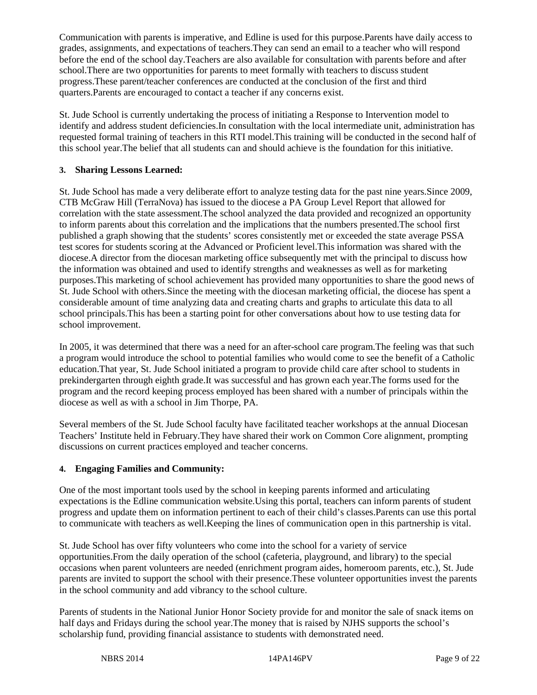Communication with parents is imperative, and Edline is used for this purpose.Parents have daily access to grades, assignments, and expectations of teachers.They can send an email to a teacher who will respond before the end of the school day.Teachers are also available for consultation with parents before and after school.There are two opportunities for parents to meet formally with teachers to discuss student progress.These parent/teacher conferences are conducted at the conclusion of the first and third quarters.Parents are encouraged to contact a teacher if any concerns exist.

St. Jude School is currently undertaking the process of initiating a Response to Intervention model to identify and address student deficiencies.In consultation with the local intermediate unit, administration has requested formal training of teachers in this RTI model.This training will be conducted in the second half of this school year.The belief that all students can and should achieve is the foundation for this initiative.

#### **3. Sharing Lessons Learned:**

St. Jude School has made a very deliberate effort to analyze testing data for the past nine years.Since 2009, CTB McGraw Hill (TerraNova) has issued to the diocese a PA Group Level Report that allowed for correlation with the state assessment.The school analyzed the data provided and recognized an opportunity to inform parents about this correlation and the implications that the numbers presented.The school first published a graph showing that the students' scores consistently met or exceeded the state average PSSA test scores for students scoring at the Advanced or Proficient level.This information was shared with the diocese.A director from the diocesan marketing office subsequently met with the principal to discuss how the information was obtained and used to identify strengths and weaknesses as well as for marketing purposes.This marketing of school achievement has provided many opportunities to share the good news of St. Jude School with others.Since the meeting with the diocesan marketing official, the diocese has spent a considerable amount of time analyzing data and creating charts and graphs to articulate this data to all school principals.This has been a starting point for other conversations about how to use testing data for school improvement.

In 2005, it was determined that there was a need for an after-school care program.The feeling was that such a program would introduce the school to potential families who would come to see the benefit of a Catholic education.That year, St. Jude School initiated a program to provide child care after school to students in prekindergarten through eighth grade.It was successful and has grown each year.The forms used for the program and the record keeping process employed has been shared with a number of principals within the diocese as well as with a school in Jim Thorpe, PA.

Several members of the St. Jude School faculty have facilitated teacher workshops at the annual Diocesan Teachers' Institute held in February.They have shared their work on Common Core alignment, prompting discussions on current practices employed and teacher concerns.

#### **4. Engaging Families and Community:**

One of the most important tools used by the school in keeping parents informed and articulating expectations is the Edline communication website.Using this portal, teachers can inform parents of student progress and update them on information pertinent to each of their child's classes.Parents can use this portal to communicate with teachers as well.Keeping the lines of communication open in this partnership is vital.

St. Jude School has over fifty volunteers who come into the school for a variety of service opportunities.From the daily operation of the school (cafeteria, playground, and library) to the special occasions when parent volunteers are needed (enrichment program aides, homeroom parents, etc.), St. Jude parents are invited to support the school with their presence.These volunteer opportunities invest the parents in the school community and add vibrancy to the school culture.

Parents of students in the National Junior Honor Society provide for and monitor the sale of snack items on half days and Fridays during the school year.The money that is raised by NJHS supports the school's scholarship fund, providing financial assistance to students with demonstrated need.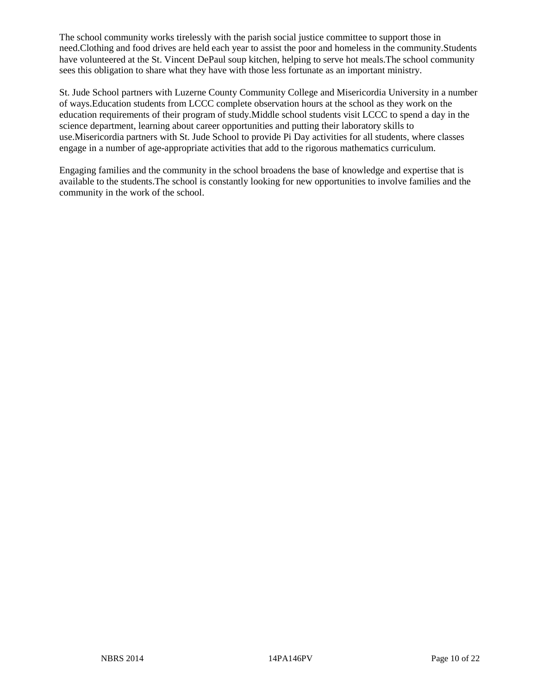The school community works tirelessly with the parish social justice committee to support those in need.Clothing and food drives are held each year to assist the poor and homeless in the community.Students have volunteered at the St. Vincent DePaul soup kitchen, helping to serve hot meals.The school community sees this obligation to share what they have with those less fortunate as an important ministry.

St. Jude School partners with Luzerne County Community College and Misericordia University in a number of ways.Education students from LCCC complete observation hours at the school as they work on the education requirements of their program of study.Middle school students visit LCCC to spend a day in the science department, learning about career opportunities and putting their laboratory skills to use.Misericordia partners with St. Jude School to provide Pi Day activities for all students, where classes engage in a number of age-appropriate activities that add to the rigorous mathematics curriculum.

Engaging families and the community in the school broadens the base of knowledge and expertise that is available to the students.The school is constantly looking for new opportunities to involve families and the community in the work of the school.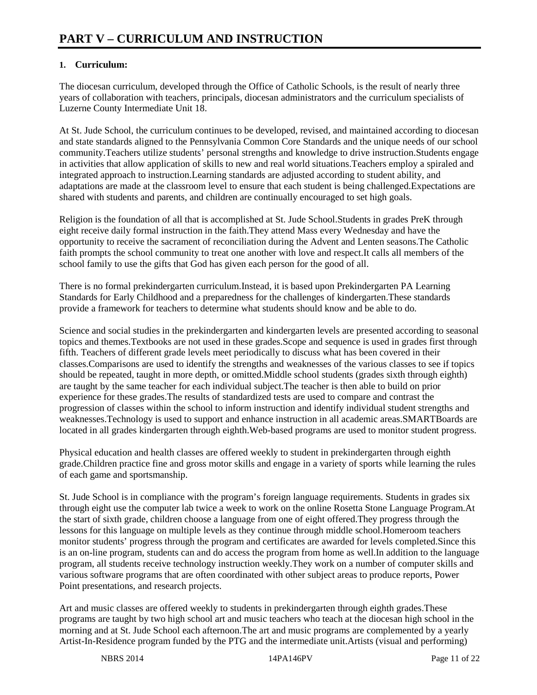## **1. Curriculum:**

The diocesan curriculum, developed through the Office of Catholic Schools, is the result of nearly three years of collaboration with teachers, principals, diocesan administrators and the curriculum specialists of Luzerne County Intermediate Unit 18.

At St. Jude School, the curriculum continues to be developed, revised, and maintained according to diocesan and state standards aligned to the Pennsylvania Common Core Standards and the unique needs of our school community.Teachers utilize students' personal strengths and knowledge to drive instruction.Students engage in activities that allow application of skills to new and real world situations.Teachers employ a spiraled and integrated approach to instruction.Learning standards are adjusted according to student ability, and adaptations are made at the classroom level to ensure that each student is being challenged.Expectations are shared with students and parents, and children are continually encouraged to set high goals.

Religion is the foundation of all that is accomplished at St. Jude School.Students in grades PreK through eight receive daily formal instruction in the faith.They attend Mass every Wednesday and have the opportunity to receive the sacrament of reconciliation during the Advent and Lenten seasons.The Catholic faith prompts the school community to treat one another with love and respect.It calls all members of the school family to use the gifts that God has given each person for the good of all.

There is no formal prekindergarten curriculum.Instead, it is based upon Prekindergarten PA Learning Standards for Early Childhood and a preparedness for the challenges of kindergarten.These standards provide a framework for teachers to determine what students should know and be able to do.

Science and social studies in the prekindergarten and kindergarten levels are presented according to seasonal topics and themes.Textbooks are not used in these grades.Scope and sequence is used in grades first through fifth. Teachers of different grade levels meet periodically to discuss what has been covered in their classes.Comparisons are used to identify the strengths and weaknesses of the various classes to see if topics should be repeated, taught in more depth, or omitted.Middle school students (grades sixth through eighth) are taught by the same teacher for each individual subject.The teacher is then able to build on prior experience for these grades.The results of standardized tests are used to compare and contrast the progression of classes within the school to inform instruction and identify individual student strengths and weaknesses.Technology is used to support and enhance instruction in all academic areas.SMARTBoards are located in all grades kindergarten through eighth.Web-based programs are used to monitor student progress.

Physical education and health classes are offered weekly to student in prekindergarten through eighth grade.Children practice fine and gross motor skills and engage in a variety of sports while learning the rules of each game and sportsmanship.

St. Jude School is in compliance with the program's foreign language requirements. Students in grades six through eight use the computer lab twice a week to work on the online Rosetta Stone Language Program.At the start of sixth grade, children choose a language from one of eight offered.They progress through the lessons for this language on multiple levels as they continue through middle school.Homeroom teachers monitor students' progress through the program and certificates are awarded for levels completed.Since this is an on-line program, students can and do access the program from home as well.In addition to the language program, all students receive technology instruction weekly.They work on a number of computer skills and various software programs that are often coordinated with other subject areas to produce reports, Power Point presentations, and research projects.

Art and music classes are offered weekly to students in prekindergarten through eighth grades.These programs are taught by two high school art and music teachers who teach at the diocesan high school in the morning and at St. Jude School each afternoon.The art and music programs are complemented by a yearly Artist-In-Residence program funded by the PTG and the intermediate unit.Artists (visual and performing)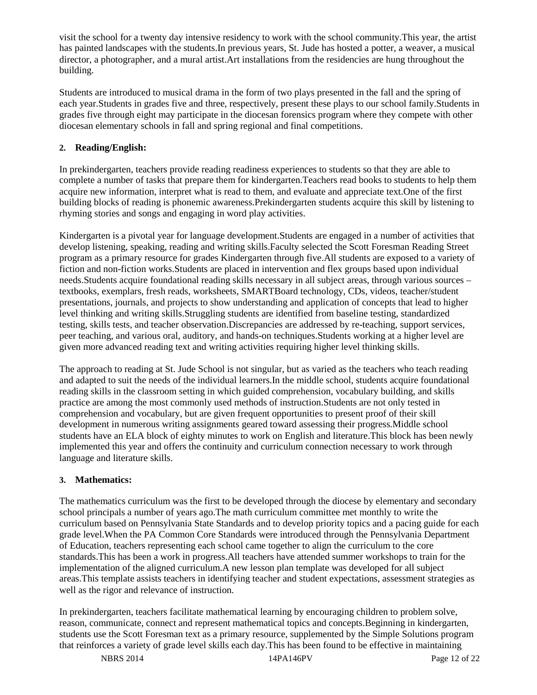visit the school for a twenty day intensive residency to work with the school community.This year, the artist has painted landscapes with the students.In previous years, St. Jude has hosted a potter, a weaver, a musical director, a photographer, and a mural artist.Art installations from the residencies are hung throughout the building.

Students are introduced to musical drama in the form of two plays presented in the fall and the spring of each year.Students in grades five and three, respectively, present these plays to our school family.Students in grades five through eight may participate in the diocesan forensics program where they compete with other diocesan elementary schools in fall and spring regional and final competitions.

## **2. Reading/English:**

In prekindergarten, teachers provide reading readiness experiences to students so that they are able to complete a number of tasks that prepare them for kindergarten.Teachers read books to students to help them acquire new information, interpret what is read to them, and evaluate and appreciate text.One of the first building blocks of reading is phonemic awareness.Prekindergarten students acquire this skill by listening to rhyming stories and songs and engaging in word play activities.

Kindergarten is a pivotal year for language development.Students are engaged in a number of activities that develop listening, speaking, reading and writing skills.Faculty selected the Scott Foresman Reading Street program as a primary resource for grades Kindergarten through five.All students are exposed to a variety of fiction and non-fiction works.Students are placed in intervention and flex groups based upon individual needs.Students acquire foundational reading skills necessary in all subject areas, through various sources – textbooks, exemplars, fresh reads, worksheets, SMARTBoard technology, CDs, videos, teacher/student presentations, journals, and projects to show understanding and application of concepts that lead to higher level thinking and writing skills.Struggling students are identified from baseline testing, standardized testing, skills tests, and teacher observation.Discrepancies are addressed by re-teaching, support services, peer teaching, and various oral, auditory, and hands-on techniques.Students working at a higher level are given more advanced reading text and writing activities requiring higher level thinking skills.

The approach to reading at St. Jude School is not singular, but as varied as the teachers who teach reading and adapted to suit the needs of the individual learners.In the middle school, students acquire foundational reading skills in the classroom setting in which guided comprehension, vocabulary building, and skills practice are among the most commonly used methods of instruction.Students are not only tested in comprehension and vocabulary, but are given frequent opportunities to present proof of their skill development in numerous writing assignments geared toward assessing their progress.Middle school students have an ELA block of eighty minutes to work on English and literature.This block has been newly implemented this year and offers the continuity and curriculum connection necessary to work through language and literature skills.

#### **3. Mathematics:**

The mathematics curriculum was the first to be developed through the diocese by elementary and secondary school principals a number of years ago.The math curriculum committee met monthly to write the curriculum based on Pennsylvania State Standards and to develop priority topics and a pacing guide for each grade level.When the PA Common Core Standards were introduced through the Pennsylvania Department of Education, teachers representing each school came together to align the curriculum to the core standards.This has been a work in progress.All teachers have attended summer workshops to train for the implementation of the aligned curriculum.A new lesson plan template was developed for all subject areas.This template assists teachers in identifying teacher and student expectations, assessment strategies as well as the rigor and relevance of instruction.

In prekindergarten, teachers facilitate mathematical learning by encouraging children to problem solve, reason, communicate, connect and represent mathematical topics and concepts.Beginning in kindergarten, students use the Scott Foresman text as a primary resource, supplemented by the Simple Solutions program that reinforces a variety of grade level skills each day.This has been found to be effective in maintaining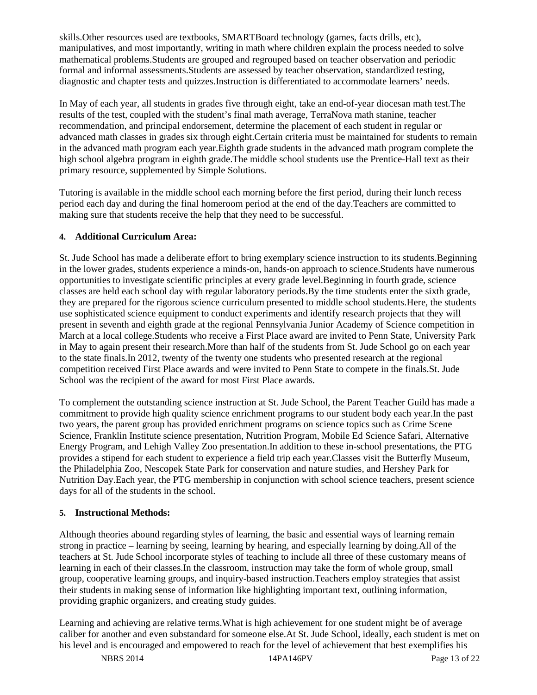skills.Other resources used are textbooks, SMARTBoard technology (games, facts drills, etc), manipulatives, and most importantly, writing in math where children explain the process needed to solve mathematical problems.Students are grouped and regrouped based on teacher observation and periodic formal and informal assessments.Students are assessed by teacher observation, standardized testing, diagnostic and chapter tests and quizzes.Instruction is differentiated to accommodate learners' needs.

In May of each year, all students in grades five through eight, take an end-of-year diocesan math test.The results of the test, coupled with the student's final math average, TerraNova math stanine, teacher recommendation, and principal endorsement, determine the placement of each student in regular or advanced math classes in grades six through eight.Certain criteria must be maintained for students to remain in the advanced math program each year.Eighth grade students in the advanced math program complete the high school algebra program in eighth grade.The middle school students use the Prentice-Hall text as their primary resource, supplemented by Simple Solutions.

Tutoring is available in the middle school each morning before the first period, during their lunch recess period each day and during the final homeroom period at the end of the day.Teachers are committed to making sure that students receive the help that they need to be successful.

#### **4. Additional Curriculum Area:**

St. Jude School has made a deliberate effort to bring exemplary science instruction to its students.Beginning in the lower grades, students experience a minds-on, hands-on approach to science.Students have numerous opportunities to investigate scientific principles at every grade level.Beginning in fourth grade, science classes are held each school day with regular laboratory periods.By the time students enter the sixth grade, they are prepared for the rigorous science curriculum presented to middle school students.Here, the students use sophisticated science equipment to conduct experiments and identify research projects that they will present in seventh and eighth grade at the regional Pennsylvania Junior Academy of Science competition in March at a local college.Students who receive a First Place award are invited to Penn State, University Park in May to again present their research.More than half of the students from St. Jude School go on each year to the state finals.In 2012, twenty of the twenty one students who presented research at the regional competition received First Place awards and were invited to Penn State to compete in the finals.St. Jude School was the recipient of the award for most First Place awards.

To complement the outstanding science instruction at St. Jude School, the Parent Teacher Guild has made a commitment to provide high quality science enrichment programs to our student body each year.In the past two years, the parent group has provided enrichment programs on science topics such as Crime Scene Science, Franklin Institute science presentation, Nutrition Program, Mobile Ed Science Safari, Alternative Energy Program, and Lehigh Valley Zoo presentation.In addition to these in-school presentations, the PTG provides a stipend for each student to experience a field trip each year.Classes visit the Butterfly Museum, the Philadelphia Zoo, Nescopek State Park for conservation and nature studies, and Hershey Park for Nutrition Day.Each year, the PTG membership in conjunction with school science teachers, present science days for all of the students in the school.

#### **5. Instructional Methods:**

Although theories abound regarding styles of learning, the basic and essential ways of learning remain strong in practice – learning by seeing, learning by hearing, and especially learning by doing.All of the teachers at St. Jude School incorporate styles of teaching to include all three of these customary means of learning in each of their classes.In the classroom, instruction may take the form of whole group, small group, cooperative learning groups, and inquiry-based instruction.Teachers employ strategies that assist their students in making sense of information like highlighting important text, outlining information, providing graphic organizers, and creating study guides.

Learning and achieving are relative terms.What is high achievement for one student might be of average caliber for another and even substandard for someone else.At St. Jude School, ideally, each student is met on his level and is encouraged and empowered to reach for the level of achievement that best exemplifies his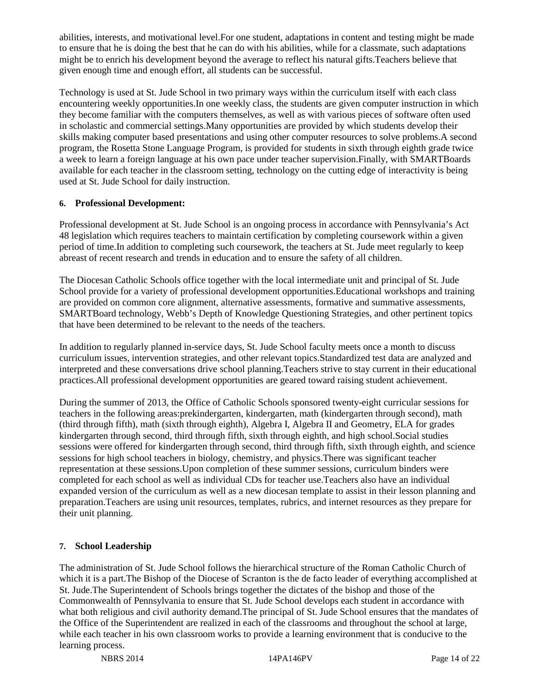abilities, interests, and motivational level.For one student, adaptations in content and testing might be made to ensure that he is doing the best that he can do with his abilities, while for a classmate, such adaptations might be to enrich his development beyond the average to reflect his natural gifts.Teachers believe that given enough time and enough effort, all students can be successful.

Technology is used at St. Jude School in two primary ways within the curriculum itself with each class encountering weekly opportunities.In one weekly class, the students are given computer instruction in which they become familiar with the computers themselves, as well as with various pieces of software often used in scholastic and commercial settings.Many opportunities are provided by which students develop their skills making computer based presentations and using other computer resources to solve problems.A second program, the Rosetta Stone Language Program, is provided for students in sixth through eighth grade twice a week to learn a foreign language at his own pace under teacher supervision.Finally, with SMARTBoards available for each teacher in the classroom setting, technology on the cutting edge of interactivity is being used at St. Jude School for daily instruction.

#### **6. Professional Development:**

Professional development at St. Jude School is an ongoing process in accordance with Pennsylvania's Act 48 legislation which requires teachers to maintain certification by completing coursework within a given period of time.In addition to completing such coursework, the teachers at St. Jude meet regularly to keep abreast of recent research and trends in education and to ensure the safety of all children.

The Diocesan Catholic Schools office together with the local intermediate unit and principal of St. Jude School provide for a variety of professional development opportunities.Educational workshops and training are provided on common core alignment, alternative assessments, formative and summative assessments, SMARTBoard technology, Webb's Depth of Knowledge Questioning Strategies, and other pertinent topics that have been determined to be relevant to the needs of the teachers.

In addition to regularly planned in-service days, St. Jude School faculty meets once a month to discuss curriculum issues, intervention strategies, and other relevant topics.Standardized test data are analyzed and interpreted and these conversations drive school planning.Teachers strive to stay current in their educational practices.All professional development opportunities are geared toward raising student achievement.

During the summer of 2013, the Office of Catholic Schools sponsored twenty-eight curricular sessions for teachers in the following areas:prekindergarten, kindergarten, math (kindergarten through second), math (third through fifth), math (sixth through eighth), Algebra I, Algebra II and Geometry, ELA for grades kindergarten through second, third through fifth, sixth through eighth, and high school.Social studies sessions were offered for kindergarten through second, third through fifth, sixth through eighth, and science sessions for high school teachers in biology, chemistry, and physics.There was significant teacher representation at these sessions.Upon completion of these summer sessions, curriculum binders were completed for each school as well as individual CDs for teacher use.Teachers also have an individual expanded version of the curriculum as well as a new diocesan template to assist in their lesson planning and preparation.Teachers are using unit resources, templates, rubrics, and internet resources as they prepare for their unit planning.

#### **7. School Leadership**

The administration of St. Jude School follows the hierarchical structure of the Roman Catholic Church of which it is a part.The Bishop of the Diocese of Scranton is the de facto leader of everything accomplished at St. Jude.The Superintendent of Schools brings together the dictates of the bishop and those of the Commonwealth of Pennsylvania to ensure that St. Jude School develops each student in accordance with what both religious and civil authority demand.The principal of St. Jude School ensures that the mandates of the Office of the Superintendent are realized in each of the classrooms and throughout the school at large, while each teacher in his own classroom works to provide a learning environment that is conducive to the learning process.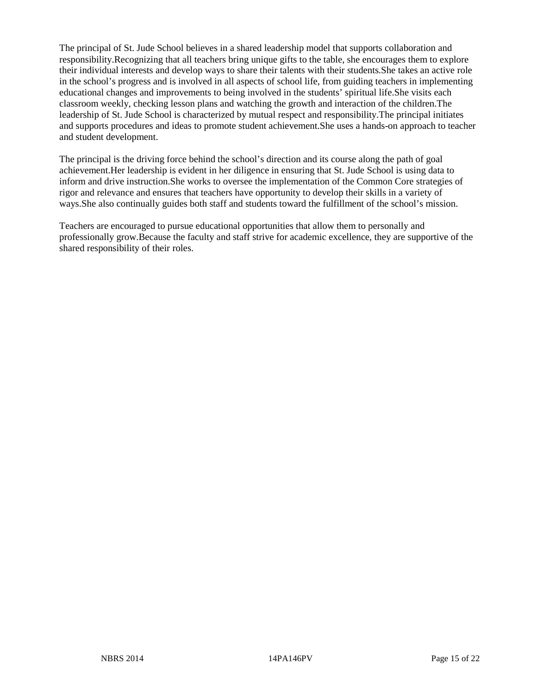The principal of St. Jude School believes in a shared leadership model that supports collaboration and responsibility.Recognizing that all teachers bring unique gifts to the table, she encourages them to explore their individual interests and develop ways to share their talents with their students.She takes an active role in the school's progress and is involved in all aspects of school life, from guiding teachers in implementing educational changes and improvements to being involved in the students' spiritual life.She visits each classroom weekly, checking lesson plans and watching the growth and interaction of the children.The leadership of St. Jude School is characterized by mutual respect and responsibility.The principal initiates and supports procedures and ideas to promote student achievement.She uses a hands-on approach to teacher and student development.

The principal is the driving force behind the school's direction and its course along the path of goal achievement.Her leadership is evident in her diligence in ensuring that St. Jude School is using data to inform and drive instruction.She works to oversee the implementation of the Common Core strategies of rigor and relevance and ensures that teachers have opportunity to develop their skills in a variety of ways.She also continually guides both staff and students toward the fulfillment of the school's mission.

Teachers are encouraged to pursue educational opportunities that allow them to personally and professionally grow.Because the faculty and staff strive for academic excellence, they are supportive of the shared responsibility of their roles.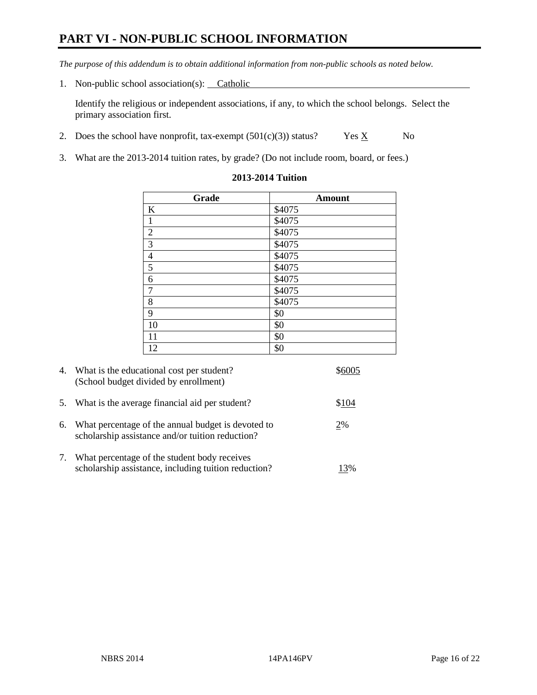## **PART VI - NON-PUBLIC SCHOOL INFORMATION**

*The purpose of this addendum is to obtain additional information from non-public schools as noted below.* 

1. Non-public school association(s): Catholic

Identify the religious or independent associations, if any, to which the school belongs. Select the primary association first.

- 2. Does the school have nonprofit, tax-exempt  $(501(c)(3))$  status? Yes  $\underline{X}$  No
- 3. What are the 2013-2014 tuition rates, by grade? (Do not include room, board, or fees.)

| Grade                   | <b>Amount</b>  |
|-------------------------|----------------|
| K                       | \$4075         |
| $\mathbf{1}$            | \$4075         |
| $\overline{2}$          | \$4075         |
| $\overline{\mathbf{3}}$ | $\sqrt{$4075}$ |
| $\overline{4}$          | \$4075         |
| $\overline{5}$          | $\sqrt{$4075}$ |
| 6                       | \$4075         |
| $\overline{7}$          | \$4075         |
| 8                       | \$4075         |
| 9                       | \$0            |
| 10                      | \$0            |
| 11                      | \$0            |
| 12                      | \$0            |

#### **2013-2014 Tuition**

|    | 4. What is the educational cost per student?<br>(School budget divided by enrollment)                  |       |
|----|--------------------------------------------------------------------------------------------------------|-------|
| 5. | What is the average financial aid per student?                                                         | \$104 |
| 6. | What percentage of the annual budget is devoted to<br>scholarship assistance and/or tuition reduction? | 2%    |
| 7. | What percentage of the student body receives<br>scholarship assistance, including tuition reduction?   | 13%   |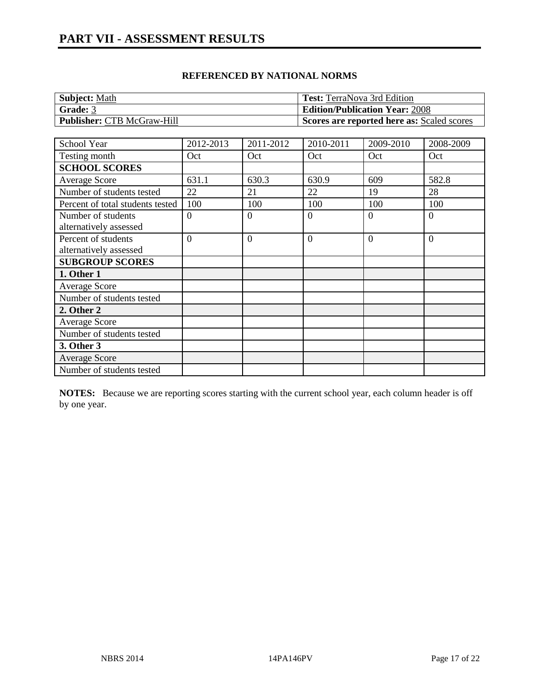| Subject: Math                     | <b>Test:</b> TerraNova 3rd Edition         |
|-----------------------------------|--------------------------------------------|
| Grade: 3                          | <b>Edition/Publication Year: 2008</b>      |
| <b>Publisher: CTB McGraw-Hill</b> | Scores are reported here as: Scaled scores |

| School Year                      | 2012-2013      | 2011-2012 | 2010-2011      | 2009-2010 | 2008-2009 |
|----------------------------------|----------------|-----------|----------------|-----------|-----------|
| Testing month                    | Oct            | Oct       | Oct            | Oct       | Oct       |
| <b>SCHOOL SCORES</b>             |                |           |                |           |           |
| Average Score                    | 631.1          | 630.3     | 630.9          | 609       | 582.8     |
| Number of students tested        | 22             | 21        | 22             | 19        | 28        |
| Percent of total students tested | 100            | 100       | 100            | 100       | 100       |
| Number of students               | $\overline{0}$ | $\Omega$  | $\overline{0}$ | $\Omega$  | $\theta$  |
| alternatively assessed           |                |           |                |           |           |
| Percent of students              | $\Omega$       | $\Omega$  | $\theta$       | $\theta$  | $\theta$  |
| alternatively assessed           |                |           |                |           |           |
| <b>SUBGROUP SCORES</b>           |                |           |                |           |           |
| 1. Other 1                       |                |           |                |           |           |
| Average Score                    |                |           |                |           |           |
| Number of students tested        |                |           |                |           |           |
| 2. Other 2                       |                |           |                |           |           |
| Average Score                    |                |           |                |           |           |
| Number of students tested        |                |           |                |           |           |
| 3. Other 3                       |                |           |                |           |           |
| <b>Average Score</b>             |                |           |                |           |           |
| Number of students tested        |                |           |                |           |           |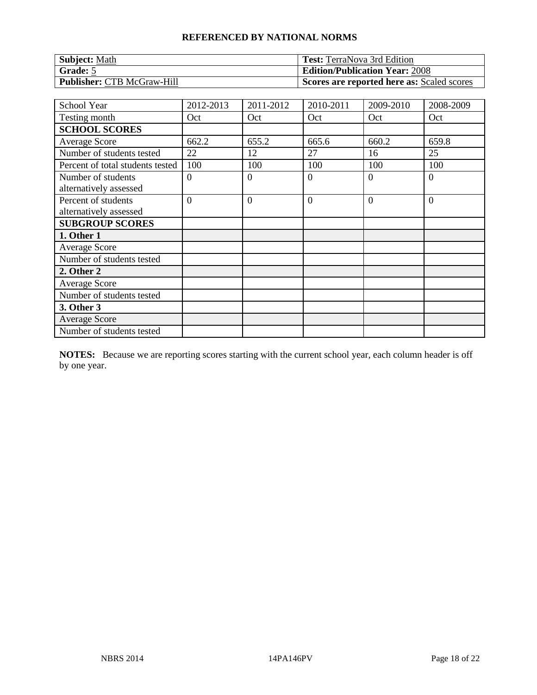| <b>Subject: Math</b>              | <b>Test:</b> TerraNova 3rd Edition         |
|-----------------------------------|--------------------------------------------|
| <b>Grade:</b> 5                   | <b>Edition/Publication Year: 2008</b>      |
| <b>Publisher: CTB McGraw-Hill</b> | Scores are reported here as: Scaled scores |

| School Year                                   | 2012-2013      | 2011-2012      | 2010-2011      | 2009-2010 | 2008-2009      |
|-----------------------------------------------|----------------|----------------|----------------|-----------|----------------|
| Testing month                                 | Oct            | Oct            | Oct            | Oct       | Oct            |
| <b>SCHOOL SCORES</b>                          |                |                |                |           |                |
| <b>Average Score</b>                          | 662.2          | 655.2          | 665.6          | 660.2     | 659.8          |
| Number of students tested                     | 22             | 12             | 27             | 16        | 25             |
| Percent of total students tested              | 100            | 100            | 100            | 100       | 100            |
| Number of students<br>alternatively assessed  | $\overline{0}$ | $\theta$       | $\theta$       | $\Omega$  | $\theta$       |
| Percent of students<br>alternatively assessed | $\overline{0}$ | $\overline{0}$ | $\overline{0}$ | $\Omega$  | $\overline{0}$ |
| <b>SUBGROUP SCORES</b>                        |                |                |                |           |                |
| 1. Other 1                                    |                |                |                |           |                |
| <b>Average Score</b>                          |                |                |                |           |                |
| Number of students tested                     |                |                |                |           |                |
| 2. Other 2                                    |                |                |                |           |                |
| <b>Average Score</b>                          |                |                |                |           |                |
| Number of students tested                     |                |                |                |           |                |
| 3. Other 3                                    |                |                |                |           |                |
| <b>Average Score</b>                          |                |                |                |           |                |
| Number of students tested                     |                |                |                |           |                |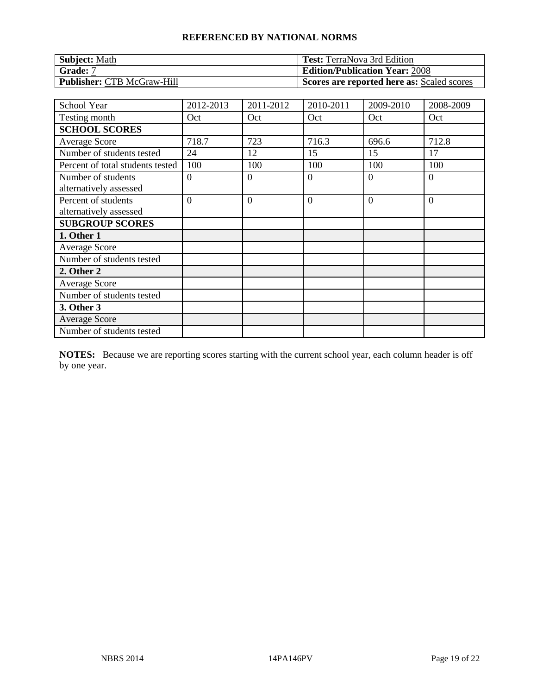| <b>Subject: Math</b>              | <b>Test:</b> TerraNova 3rd Edition         |
|-----------------------------------|--------------------------------------------|
| <b>Grade: 7</b>                   | <b>Edition/Publication Year: 2008</b>      |
| <b>Publisher: CTB McGraw-Hill</b> | Scores are reported here as: Scaled scores |

| School Year                                   | 2012-2013      | 2011-2012      | 2010-2011      | 2009-2010 | 2008-2009      |
|-----------------------------------------------|----------------|----------------|----------------|-----------|----------------|
| Testing month                                 | Oct            | Oct            | Oct            | Oct       | Oct            |
| <b>SCHOOL SCORES</b>                          |                |                |                |           |                |
| <b>Average Score</b>                          | 718.7          | 723            | 716.3          | 696.6     | 712.8          |
| Number of students tested                     | 24             | 12             | 15             | 15        | 17             |
| Percent of total students tested              | 100            | 100            | 100            | 100       | 100            |
| Number of students                            | $\overline{0}$ | $\overline{0}$ | $\overline{0}$ | $\Omega$  | $\overline{0}$ |
| alternatively assessed                        |                |                |                |           |                |
| Percent of students<br>alternatively assessed | $\overline{0}$ | $\overline{0}$ | $\overline{0}$ | $\Omega$  | $\overline{0}$ |
| <b>SUBGROUP SCORES</b>                        |                |                |                |           |                |
| 1. Other 1                                    |                |                |                |           |                |
| <b>Average Score</b>                          |                |                |                |           |                |
| Number of students tested                     |                |                |                |           |                |
| 2. Other 2                                    |                |                |                |           |                |
| <b>Average Score</b>                          |                |                |                |           |                |
| Number of students tested                     |                |                |                |           |                |
| 3. Other 3                                    |                |                |                |           |                |
| <b>Average Score</b>                          |                |                |                |           |                |
| Number of students tested                     |                |                |                |           |                |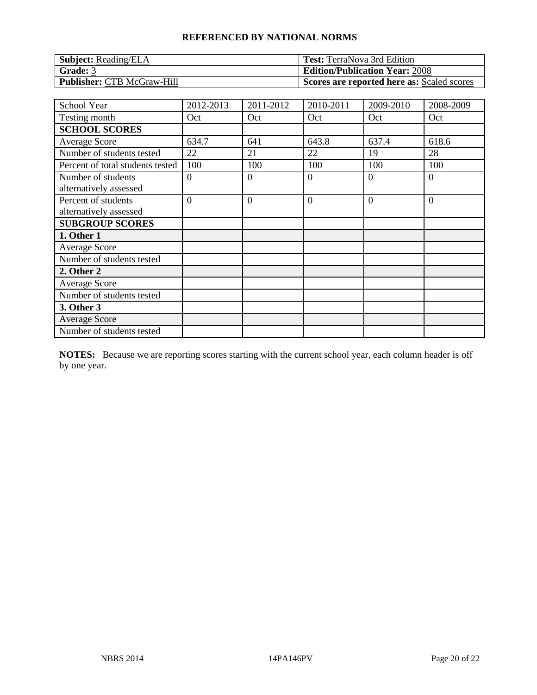| <b>Subject:</b> Reading/ELA       | <b>Test:</b> TerraNova 3rd Edition                |
|-----------------------------------|---------------------------------------------------|
| Grade: 3                          | <b>Edition/Publication Year: 2008</b>             |
| <b>Publisher: CTB McGraw-Hill</b> | <b>Scores are reported here as: Scaled scores</b> |

| School Year                                   | 2012-2013      | 2011-2012      | 2010-2011      | 2009-2010 | 2008-2009      |
|-----------------------------------------------|----------------|----------------|----------------|-----------|----------------|
| Testing month                                 | Oct            | Oct            | Oct            | Oct       | Oct            |
| <b>SCHOOL SCORES</b>                          |                |                |                |           |                |
| <b>Average Score</b>                          | 634.7          | 641            | 643.8          | 637.4     | 618.6          |
| Number of students tested                     | 22             | 21             | 22             | 19        | 28             |
| Percent of total students tested              | 100            | 100            | 100            | 100       | 100            |
| Number of students<br>alternatively assessed  | $\theta$       | $\overline{0}$ | $\overline{0}$ | $\Omega$  | $\overline{0}$ |
| Percent of students<br>alternatively assessed | $\overline{0}$ | $\overline{0}$ | $\overline{0}$ | $\Omega$  | $\overline{0}$ |
| <b>SUBGROUP SCORES</b>                        |                |                |                |           |                |
| 1. Other 1                                    |                |                |                |           |                |
| <b>Average Score</b>                          |                |                |                |           |                |
| Number of students tested                     |                |                |                |           |                |
| 2. Other 2                                    |                |                |                |           |                |
| <b>Average Score</b>                          |                |                |                |           |                |
| Number of students tested                     |                |                |                |           |                |
| 3. Other 3                                    |                |                |                |           |                |
| <b>Average Score</b>                          |                |                |                |           |                |
| Number of students tested                     |                |                |                |           |                |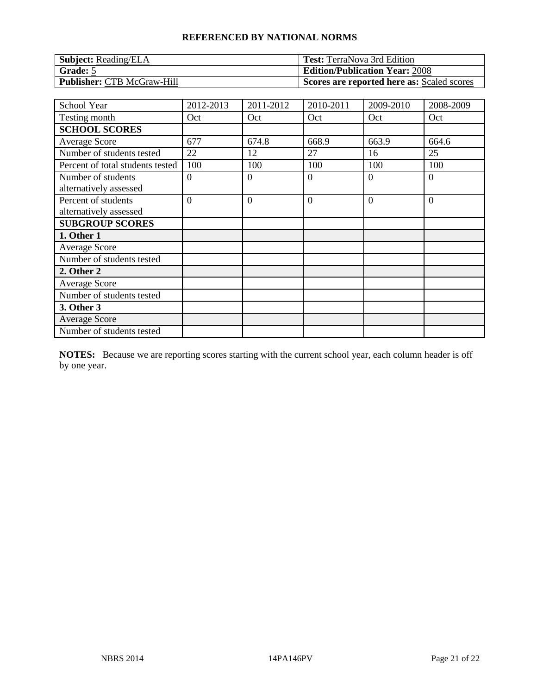| <b>Subject:</b> Reading/ELA       | <b>Test:</b> TerraNova 3rd Edition                |
|-----------------------------------|---------------------------------------------------|
| Grade: 5                          | <b>Edition/Publication Year: 2008</b>             |
| <b>Publisher: CTB McGraw-Hill</b> | <b>Scores are reported here as: Scaled scores</b> |

| <b>School Year</b>               | 2012-2013      | 2011-2012      | 2010-2011      | 2009-2010 | 2008-2009      |
|----------------------------------|----------------|----------------|----------------|-----------|----------------|
| Testing month                    | Oct            | Oct            | Oct            | Oct       | Oct            |
| <b>SCHOOL SCORES</b>             |                |                |                |           |                |
| <b>Average Score</b>             | 677            | 674.8          | 668.9          | 663.9     | 664.6          |
| Number of students tested        | 22             | 12             | 27             | 16        | 25             |
| Percent of total students tested | 100            | 100            | 100            | 100       | 100            |
| Number of students               | $\overline{0}$ | $\overline{0}$ | $\overline{0}$ | $\Omega$  | $\overline{0}$ |
| alternatively assessed           |                |                |                |           |                |
| Percent of students              | $\overline{0}$ | $\overline{0}$ | $\overline{0}$ | $\Omega$  | $\overline{0}$ |
| alternatively assessed           |                |                |                |           |                |
| <b>SUBGROUP SCORES</b>           |                |                |                |           |                |
| 1. Other 1                       |                |                |                |           |                |
| <b>Average Score</b>             |                |                |                |           |                |
| Number of students tested        |                |                |                |           |                |
| 2. Other 2                       |                |                |                |           |                |
| <b>Average Score</b>             |                |                |                |           |                |
| Number of students tested        |                |                |                |           |                |
| 3. Other 3                       |                |                |                |           |                |
| <b>Average Score</b>             |                |                |                |           |                |
| Number of students tested        |                |                |                |           |                |